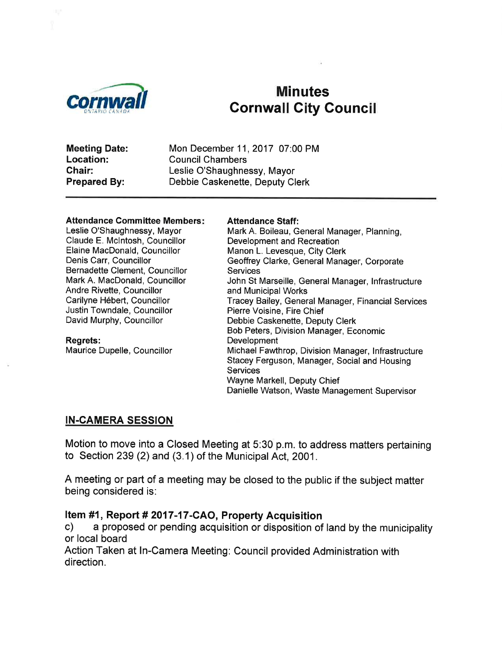

# Eornwall Minutes<br>Cornwall City Council

Meeting Date: Location: Chair: Prepared By:

Mon December 11,2017 07:00 PM Council Chambers Leslie O'Shaughnessy, Mayor Debbie Caskenette, Deputy Clerk

#### Attendance Committee Members:

Leslie O'Shaughnessy, Mayor Claude E. Mclntosh, Councillor Elaine MacDonald, Councillor Denis Carr, Councillor Bernadette Clement, Councillor Mark A. MacDonald, Councillor Andre Rivette, Councillor Carilyne Hébert, Councillor Justin Towndale, Councillor David Murphy, Councillor

Regrets: Maurice Dupelle, Councillor

Attendance Staff: Mark A. Boileau, General Manager, Planning, Development and Recreation Manon L. Levesque, City Clerk Geoffrey Clarke, General Manager, Corporate **Services** John St Marseille, General Manager, lnfrastructure and Municipal Works Tracey Bailey, General Manager, Financial Services Pierre Voisine, Fire Chief Debbie Caskenette, Deputy Clerk Bob Peters, Division Manager, Economic **Development** Michael Fawthrop, Division Manager, lnfrastructure Stacey Ferguson, Manager, Social and Housing **Services** Wayne Markell, Deputy Chief Danielle Watson, Waste Management Supervisor

#### IN.CAMERA SESSION

Motion to move into a Closed Meeting at 5:30 p.m. to address matters pertaining to Section 239 (2) and (3.1) of the Municipal Act, 2001.

A meeting or part of a meeting may be closed to the public if the subject matter being considered is:

Item #1, Report # 2017-17-CAO, Property Acquisition<br>c) a proposed or pending acquisition or disposition of land by the municipality or local board

Action Taken at In-Camera Meeting. Council provided Administration with direction.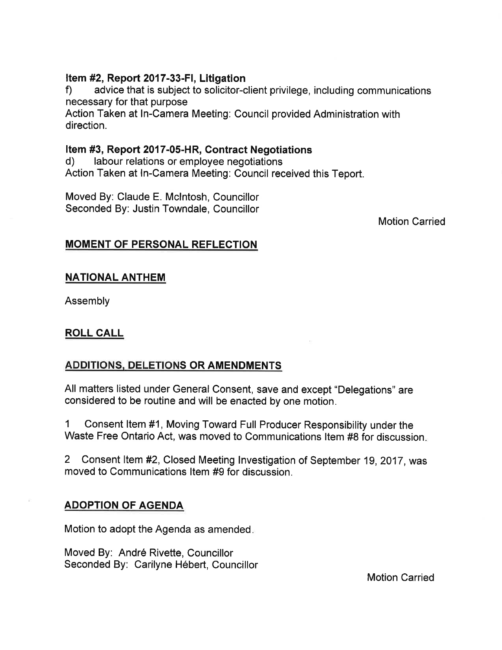#### Item #2, Report 2017-33-FI, Litigation

f) advice that is subject to solicitor-client privilege, including communications necessary for that purpose

Action Taken at In-Camera Meeting: Council provided Administration with direction.

## Item #3, Report 2017-05-HR, Contract Negotiations<br>d) labour relations or employee negotiations

Action Taken at ln-Camera Meeting: Council received this Teport.

Moved By: Claude E. Mclntosh, Councillor Seconded By: Justin Towndale, Councillor

Motion Carried

#### MOMENT OF PERSONAL REFLECTION

#### NATIONAL ANTHEM

Assembly

#### ROLL CALL

#### ADDITIONS. DELETIONS OR AMENDMENTS

All matters listed under General Consent, save and except "Delegations" are considered to be routine and will be enacted by one motion.

1 Consent ltem #1, Moving Toward Full Producer Responsibility under the Waste Free Ontario Act, was moved to Communications ltem #8 for discussion

2 Consent ltem #2, Closed Meeting lnvestigation of September 19,2017, was moved to Communications ltem #9 for discussion.

#### ADOPTION OF AGENDA

Motion to adopt the Agenda as amended

Moved By: André Rivette, Councillor Seconded By: Carilyne Hébert, Councillor

Motion Carried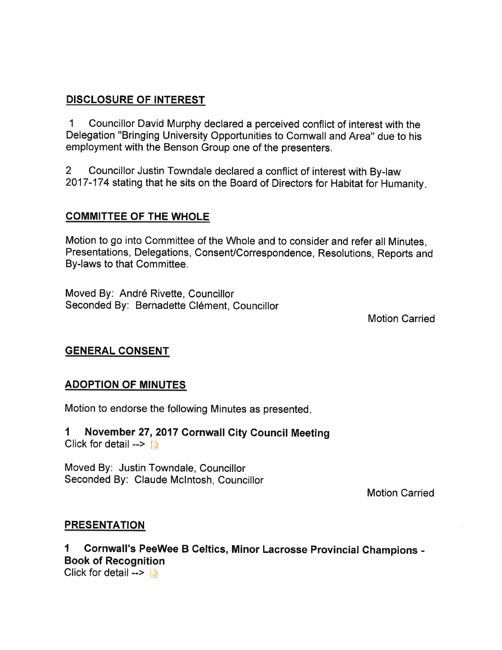#### DISCLOSURE OF INTEREST

1 Councillor David Murphy declared a perceived conflict of interest with the Delegation "Bringing University Opportunities to Cornwall and Area" due to his employment with the Benson Group one of the presenters.

2 Councillor Justin Towndale declared a conflict of interest with By-law 2017-174 stating that he sits on the Board of Directors for Habitat for Humanity

#### COMMITTEE OF THE WHOLE

Motion to go into Committee of the Whole and to consider and refer all Minutes, Presentations, Delegations, ConsenVCorrespondence, Resolutions, Reports and By-laws to that Committee.

Moved By: André Rivette, Councillor Seconded By: Bernadette Clément, Councillor

Motion Carried

#### GENERAL CONSENT

#### ADOPTION OF MINUTES

Motion to endorse the following Minutes as presented

1 November 27,2017 Cornwall Gity Council Meeting Click for detail  $--$ 

Moved By: Justin Towndale, Councillor Seconded By: Claude Mclntosh, Councillor

Motion Carried

#### **PRESENTATION**

I Cornwall's PeeWee B Celtics, Minor Lacrosse Provincial Ghampions - Book of Recognition

Click for detail  $\rightarrow$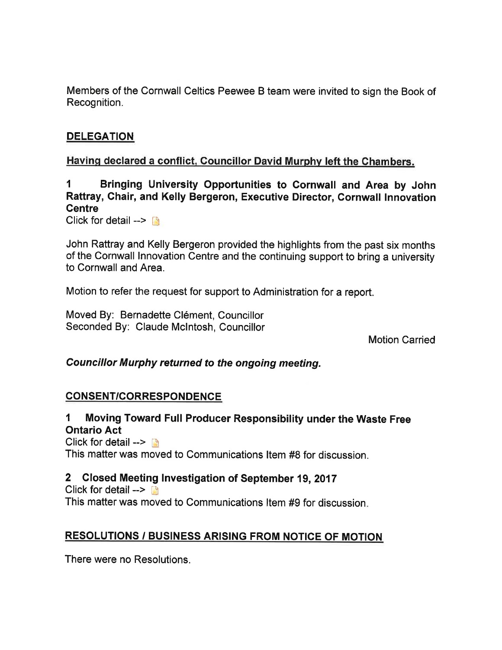Members of the Cornwall Celtics Peewee B team were invited to sign the Book of Recognition.

#### **DELEGATION**

#### Havinq declared a conflict. Gouncillor David Murphv left the Chambers.

1 Bringing University Opportunities to Gornwall and Area by John Rattray, Ghair, and Kelly Bergeron, Executive Director, Cornwall lnnovation **Centre** 

Click for detail  $\rightarrow \Box$ 

John Rattray and Kelly Bergeron provided the highlights from the past six months of the Cornwall Innovation Centre and the continuing support to bring a university to Cornwall and Area.

Motion to refer the request for support to Administration for a report.

Moved By: Bernadette Clément, Councillor Seconded By: Claude Mclntosh, Councillor

Motion Carried

#### Councillor Murphy returned to the ongoing meeting.

#### CONSENT/CORRESPONDENCE

I Moving Toward Full Producer Responsibility under the Waste Free Ontario Act

Click for detail  $\rightarrow \rightarrow$ This matter was moved to communications ltem #8 for discussion.

#### 2 Closed Meeting lnvestigation of September 19, <sup>2017</sup>

Click for detail  $\rightarrow$ This matter was moved to communications ltem #9 for discussion

#### RESOLUTIONS / BUSINESS ARISING FROM NOTICE OF MOTION

There were no Resolutions.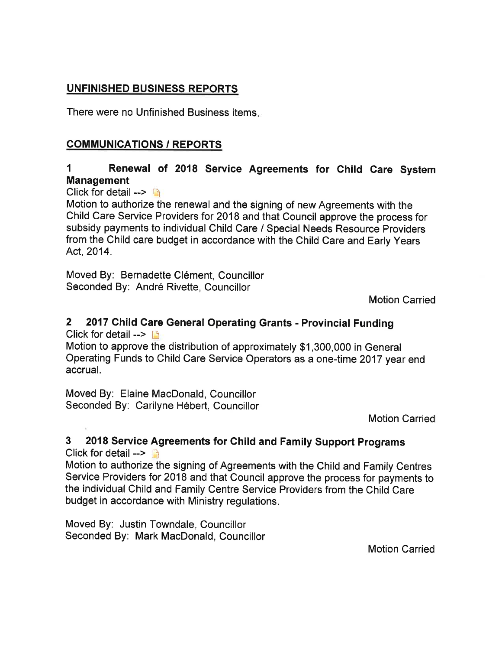### UNFINISHED BUSINESS REPORTS

There were no Unfinished Business items

### COMMUNICATIONS / REPORTS

### 1 Renewal of 2018 Service Agreements for Child Care System Management

Click for detail  $\rightarrow$ 

Motion to authorize the renewal and the signing of new Agreements with the Child Care Service Providers for 2018 and that Council approve the process for subsidy payments to individual Child Care / Special Needs Resource Providers from the Child care budget in accordance with the Child Care and Early Years Act, 2014.

Moved By: Bernadette Clément, Councillor Seconded By: André Rivette, Councillor

Motion Carried

#### 2 2017 Child Care General Operating Grants - Provincial Funding Click for detail  $\rightarrow$

Motion to approve the distribution of approximately \$1,300,000 in General Operating Funds to Child Care Service Operators as a one-time 2017 year end accrual.

Moved By: Elaine MacDonald, Councillor Seconded By: Carilyne Hébert, Councillor

Motion Carried

#### 3 2018 Service Agreements for Child and Family Support Programs Click for detail  $\rightarrow$

Motion to authorize the signing of Agreements with the Child and Family Centres Service Providers for 2018 and that Council approve the process for payments to the individual Child and Family Centre Service Providers from the Child Care budget in accordance with Ministry regulations.

Moved By: Justin Towndale, Councillor Seconded By: Mark MacDonald, Councillor

Motion Carried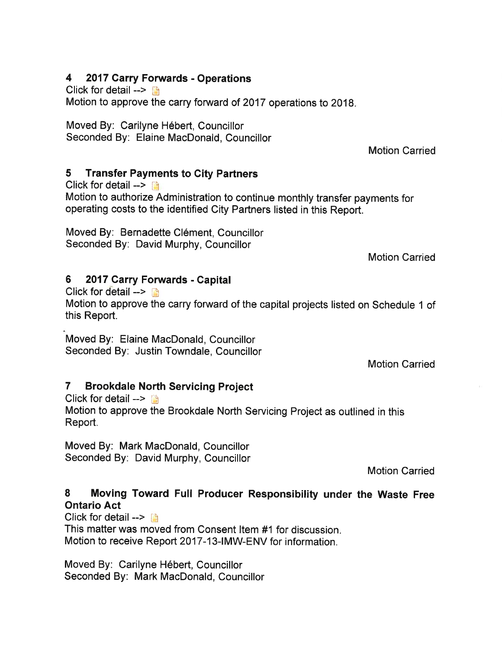#### 4 2017 Garry Forwards - Operations

Click for detail  $\leftarrow$ 

Motion to approve the carry forward of 2017 operations to 2018.

Moved By: Carilyne Hébert, Councillor Seconded By: Elaine MacDonald, Councillor

Motion Carried

#### 5 Transfer Payments to Gity Partners

Click for detail  $\rightarrow$  [3] Motion to authorize Administration to continue monthly transfer payments for operating costs to the identified City Partners listed in this Report.

Moved By: Bernadette Clément, Councillor Seconded By: David Murphy, Councillor

Motion Carried

#### 6 <sup>2017</sup>.Carry Forwards - Capital

Click for detail  $\rightarrow$  [3]

Motion to approve the carry forward of the capital projects listed on Schedule 1 of this Report.

Moved By: Elaine MacDonald, Councillor Seconded By: Justin Towndale, Councillor

Motion Carried

### 7 Brookdale North Servicing Project

Click for detail  $\rightarrow$ 

Motion to approve the Brookdale North Servicing Project as outlined in this Report.

Moved By: Mark MacDonald, Councillor Seconded By: David Murphy, Councillor

Motion Carried

#### 8 Moving Toward Full Producer Responsibility under the Waste Free Ontario Act

Click for detail  $\leftarrow$ 

This matter was moved from Consent ltem #1 for discussion. Motion to receive Report 2017-13-lMW-ENV for information.

Moved By: Carilyne Hébert, Councillor Seconded By: Mark MacDonald, Councillor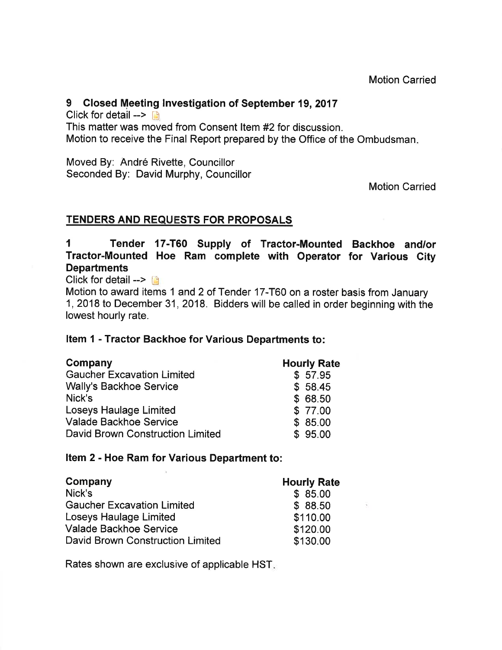#### 9 Closed Meeting Investigation of September 19, 2017

Click for detail  $\rightarrow$   $\rightarrow$ This matter was moved from Consent Item #2 for discussion. Motion to receive the Final Report prepared by the Office of the Ombudsman

Moved By: André Rivette, Councillor Seconded By: David Murphy, Councillor

Motion Carried

#### **TENDERS AND REQUESTS FOR PROPOSALS**

1 Tender 17-T60 Supply of Tractor-Mounted Backhoe and/or Tractor-Mounted Hoe Ram complete with Operator for Various Gity **Departments** 

Click for detail  $\rightarrow$ 

Motion to award items 1 and 2 of Tender 17-T60 on a roster basis from January 1,2018 to December 31,2018. Bidders will be called in order beginning with the lowest hourly rate.

#### Item I - Tractor Backhoe for Various Departments to:

| Company                           | <b>Hourly Rate</b> |
|-----------------------------------|--------------------|
| <b>Gaucher Excavation Limited</b> | \$57.95            |
| <b>Wally's Backhoe Service</b>    | \$58.45            |
| Nick's                            | \$68.50            |
| <b>Loseys Haulage Limited</b>     | \$ 77.00           |
| <b>Valade Backhoe Service</b>     | \$85.00            |
| David Brown Construction Limited  | \$95.00            |

#### Item 2 - Hoe Ram for Various Department to:

| Company                           | <b>Hourly Rate</b> |
|-----------------------------------|--------------------|
| Nick's                            | \$85.00            |
| <b>Gaucher Excavation Limited</b> | \$88.50            |
| Loseys Haulage Limited            | \$110.00           |
| <b>Valade Backhoe Service</b>     | \$120.00           |
| David Brown Construction Limited  | \$130.00           |

Rates shown are exclusive of applicable HST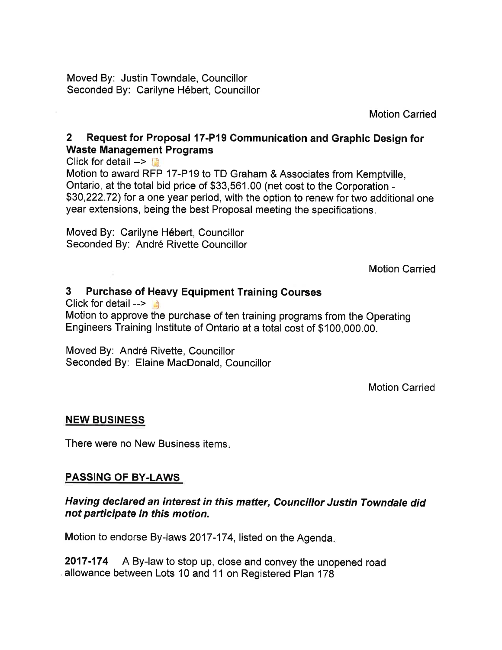Moved By: Justin Towndale, Councillor Seconded By: Carilyne Hébert, Councillor

Motion Carried

#### 2 Request for Proposal 17-P19 Gommunication and Graphic Design for Waste Management Programs

Click for detail  $\rightarrow$ Motion to award RFP 17-P19 to TD Graham & Associates from Kemptville, Ontario, at the total bid price of \$33,561.00 (net cost to the Corporation - \$30,222.72) for a one year period, with the option to renew for two additional one year extensions, being the best Proposal meeting the specifications.

Moved By: Carilyne Hébert, Councillor Seconded By: André Rivette Councillor

Motion Carried

#### 3 Purchase of Heavy Equipment Training Courses

Click for detail -->  $\Box$ 

Motion to approve the purchase of ten training programs from the Operating Engineers Training lnstitute of ontario at a total cost of \$100,000.00.

Moved By: André Rivette, Councillor Seconded By: Elaine MacDonald, Councillor

Motion Carried

#### NEW BUSINESS

There were no New Business items

#### PASSING OF BY-LAWS

#### Having declared an interest in this matter, Councillor Justin Towndale did not participate in this motion.

Motion to endorse By-laws 2017-174, listed on the Agenda

2017-174 A By-law to stop up, close and convey the unopened road allowance between Lots 10 and 11 on Registered Plan 178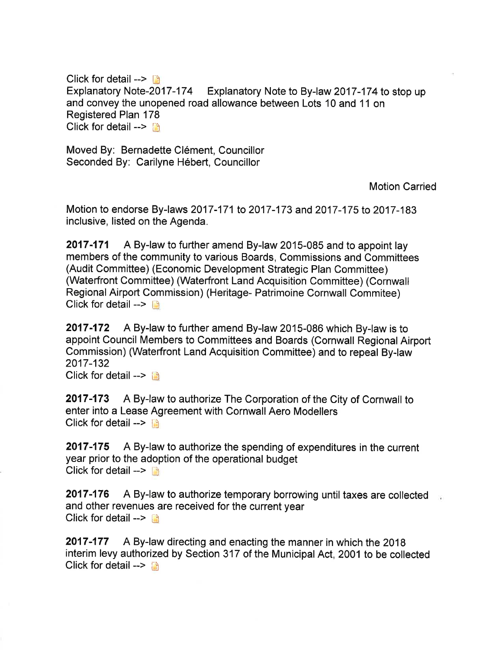Click for detail  $\rightarrow$  13 Explanatory Note-2O17-174 Explanatory Note to By-law 2017-174to stop up and convey the unopened road allowance between Lots 10 and 11 on Registered Plan 178 Click for detail --> [4]

Moved By: Bernadette Clément, Councillor Seconded By: Carilyne Hébert, Councillor

Motion Carried

Motion to endorse By-laws 2017-171 to 2017-173 and 2017-175 to 2017-183 inclusive, listed on the Agenda.

2017-171 A By-law to further amend By-law 2015-085 and to appoint lay members of the community to various Boards, Commissions and Committees (Audit Committee) (Economic Development Strategic Plan Committee) (Waterfront Committee) (Waterfront Land Acquisition Committee) (Cornwall Regional Airport Commission) (Heritage- Patrimoine Cornwall Commitee) Click for detail  $\rightarrow$ 

2017-172 A By-law to further amend By-law 2015-086 which By-law is to appoint Council Members to Committees and Boards (Cornwall Regional Airport Commission) (Waterfront Land Acquisition Committee) and to repeal By-law 2017-132

Click for detail  $--$ 

2017-173 A By-law to authorize The Corporation of the City of Cornwall to enter into a Lease Agreement with Cornwall Aero Modellers Click for detail  $\rightarrow$ 

2017-175 A By-law to authorize the spending of expenditures in the current year prior to the adoption of the operational budget Click for detail  $\rightarrow$ 

**2017-176** A By-law to authorize temporary borrowing until taxes are collected and other revenues are received for the current year Click for detail  $\rightarrow$  n

2017-177 A By-law directing and enacting the manner in which the 2018 interim levy authorized by Section 317 of the Municipal Act, 2001 to be collected Click for detail --> ß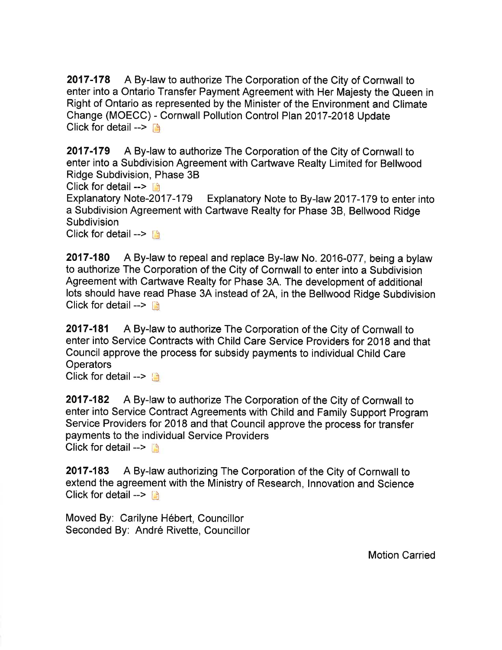2017-178 A By-law to authorize The Corporation of the City of Cornwall to enter into a Ontario Transfer Payment Agreement with Her Majesty the Queen in Right of Ontario as represented by the Minister of the Environment and Climate Change (MOECC) - Cornwall Pollution Control Plan 2017-2018 Update Click for detail  $\rightarrow$ 

2017-179 A By-law to authorize The Corporation of the City of Cornwall to enter into a Subdivision Agreement with Cartwave Realty Limited for Bellwood Ridge Subdivision, Phase 38

Click for detail  $\rightarrow$ 

Explanatory Note-2017-179 Explanatory Note to By-law 2017-179 to enter into a Subdivision Agreement with Cartwave Realty for Phase 38, Bellwood Ridge **Subdivision** 

Click for detail  $\rightarrow$ 

2017-180 A By-law to repeal and replace By-law No. 2016-077, being a bylaw to authorize The Corporation of the City of Cornwall to enter into a Subdivision Agreement with Cartwave Realty for Phase 34. The development of additional lots should have read Phase 3A instead of 2A, in the Bellwood Ridge Subdivision Click for detail  $\leftarrow$ 

2017-181 A By-law to authorize The Corporation of the City of Cornwall to enter into Service Contracts with Child Care Service Providers for 2Q1B and that Council approve the process for subsidy payments to individual Child Care **Operators** 

Click for detail  $\rightarrow$ 

2017-182 A By-law to authorize The Corporation of the City of Cornwall to enter into Service Contract Agreements with Child and Family Support Program Service Providers for 2Q18 and that Council approve the process for transfer payments to the individual Service Providers Click for detail -->  $\mathbb{R}$ 

2017-183 A By-law authorizing The Corporation of the City of Cornwall to extend the agreement with the Ministry of Research, Innovation and Science Click for detail  $\rightarrow$  [i]

Moved By: Carilyne Hébert, Councillor Seconded By: André Rivette, Councillor

Motion Carried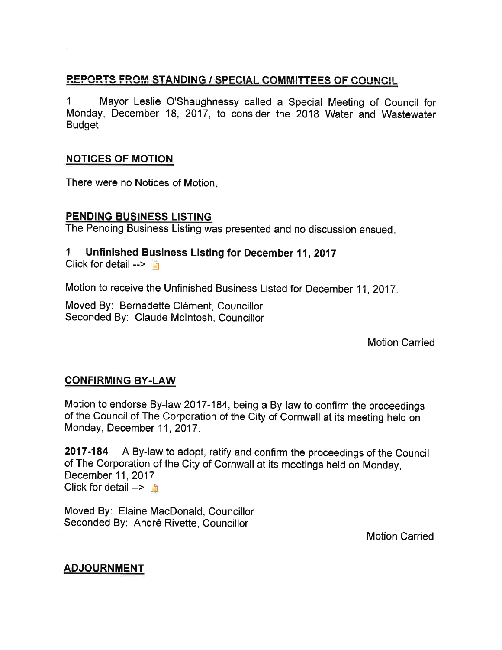#### REPORTS FROM STANDING / SPECIAL COMMITTEES OF COUNCIL

1 Mayor Leslie O'Shaughnessy called a Special Meeting of Council for Monday, December 18, 2017, to consider the 2018 Water and Wastewater Budget.

#### NOTICES OF MOTION

There were no Notices of Motion

#### PENDING BUSINESS LISTING

The Pending Business Listing was presented and no discussion ensued.

#### 1 Unfinished Business Listing for December 11, 2017

Click for detail  $\rightarrow$ 

Motion to receive the Unfinished Business Listed for December 11, 2017.

Moved By: Bernadette Clément, Councillor Seconded By: Claude Mclntosh, Councillor

Motion Carried

#### **CONFIRMING BY-LAW**

Motion to endorse By-law 2017-184, being a By-law to confirm the proceedings of the Council of The Corporation of the City of Cornwall at its meeting held on Monday, December 11, 2017 .

2017-184 A By-law to adopt, ratify and confirm the proceedings of the Council of The Corporation of the City of Cornwall at its meetings held on Monday, December 11,2017 Click for detail  $\rightarrow$ 

Moved By: Elaine MacDonald, Councillor Seconded By: André Rivette, Councillor

Motion Carried

#### ADJOURNMENT